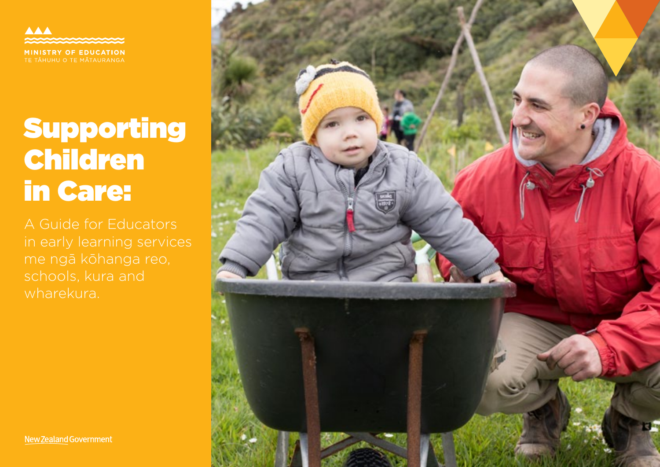**AAA MINISTRY OF EDUCATION** 

# Supporting Children in Care:

A Guide for Educators in early learning services me ngā kōhanga reo, wharekura.



New Zealand Government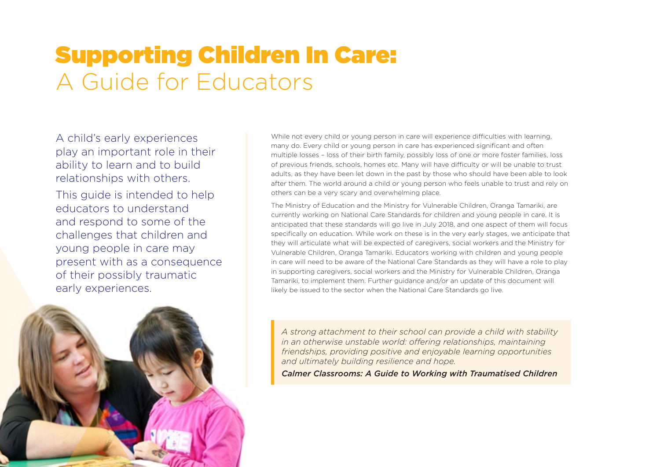## Supporting Children In Care: A Guide for Educators

A child's early experiences play an important role in their ability to learn and to build relationships with others.

This guide is intended to help educators to understand and respond to some of the challenges that children and young people in care may present with as a consequence of their possibly traumatic early experiences.



While not every child or young person in care will experience difficulties with learning, many do. Every child or young person in care has experienced significant and often multiple losses – loss of their birth family, possibly loss of one or more foster families, loss of previous friends, schools, homes etc. Many will have difficulty or will be unable to trust adults, as they have been let down in the past by those who should have been able to look after them. The world around a child or young person who feels unable to trust and rely on others can be a very scary and overwhelming place.

The Ministry of Education and the Ministry for Vulnerable Children, Oranga Tamariki, are currently working on National Care Standards for children and young people in care. It is anticipated that these standards will go live in July 2018, and one aspect of them will focus specifically on education. While work on these is in the very early stages, we anticipate that they will articulate what will be expected of caregivers, social workers and the Ministry for Vulnerable Children, Oranga Tamariki. Educators working with children and young people in care will need to be aware of the National Care Standards as they will have a role to play in supporting caregivers, social workers and the Ministry for Vulnerable Children, Oranga Tamariki, to implement them. Further guidance and/or an update of this document will likely be issued to the sector when the National Care Standards go live.

*A strong attachment to their school can provide a child with stability in an otherwise unstable world: offering relationships, maintaining friendships, providing positive and enjoyable learning opportunities and ultimately building resilience and hope.*

*Calmer Classrooms: A Guide to Working with Traumatised Children*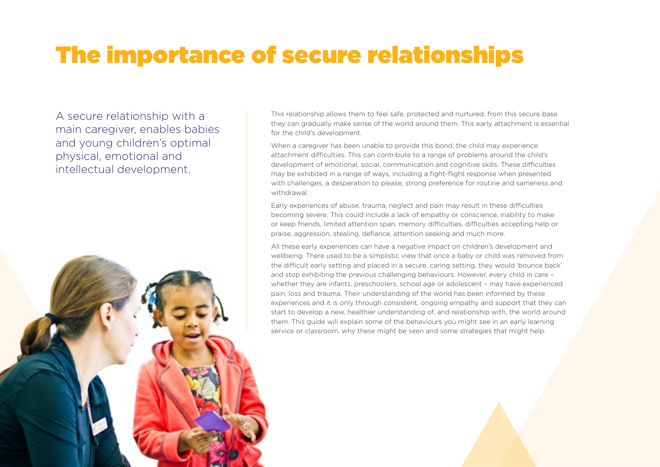## The importance of secure relationships

A secure relationship with a main caregiver, enables babies and young children's optimal physical, emotional and intellectual development.



This relationship allows them to feel safe, protected and nurtured; from this secure base they can gradually make sense of the world around them. This early attachment is essential for the child's development.

When a caregiver has been unable to provide this bond, the child may experience attachment difficulties. This can contribute to a range of problems around the child's development of emotional, social, communication and cognitive skills. These difficulties may be exhibited in a range of ways, including a fight-flight response when presented with challenges, a desperation to please, strong preference for routine and sameness and withdrawal.

Early experiences of abuse, trauma, neglect and pain may result in these difficulties becoming severe. This could include a lack of empathy or conscience, inability to make or keep friends, limited attention span, memory difficulties, difficulties accepting help or praise, aggression, stealing, defiance, attention seeking and much more.

All these early experiences can have a negative impact on children's development and wellbeing. There used to be a simplistic view that once a baby or child was removed from the difficult early setting and placed in a secure, caring setting, they would 'bounce back' and stop exhibiting the previous challenging behaviours. However, every child in care – whether they are infants, preschoolers, school age or adolescent – may have experienced pain, loss and trauma. Their understanding of the world has been informed by these experiences and it is only through consistent, ongoing empathy and support that they can start to develop a new, healthier understanding of, and relationship with, the world around them. This guide will explain some of the behaviours you might see in an early learning service or classroom, why these might be seen and some strategies that might help.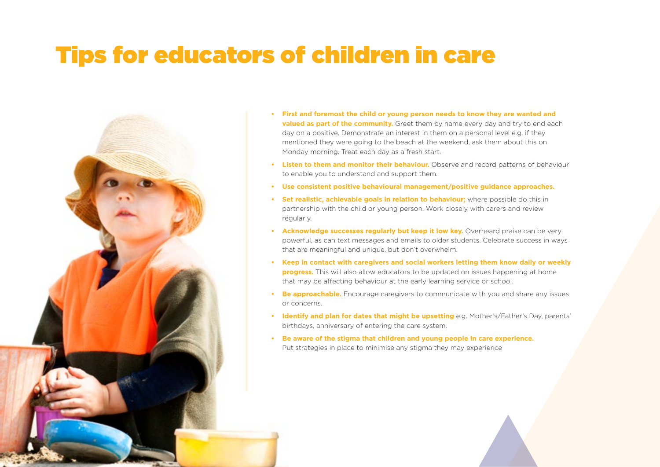### Tips for educators of children in care



- **• First and foremost the child or young person needs to know they are wanted and valued as part of the community.** Greet them by name every day and try to end each day on a positive. Demonstrate an interest in them on a personal level e.g. if they mentioned they were going to the beach at the weekend, ask them about this on Monday morning. Treat each day as a fresh start.
- **• Listen to them and monitor their behaviour.** Observe and record patterns of behaviour to enable you to understand and support them.
- **• Use consistent positive behavioural management/positive guidance approaches.**
- **• Set realistic, achievable goals in relation to behaviour;** where possible do this in partnership with the child or young person. Work closely with carers and review regularly.
- **• Acknowledge successes regularly but keep it low key.** Overheard praise can be very powerful, as can text messages and emails to older students. Celebrate success in ways that are meaningful and unique, but don't overwhelm.
- **• Keep in contact with caregivers and social workers letting them know daily or weekly progress.** This will also allow educators to be updated on issues happening at home that may be affecting behaviour at the early learning service or school.
- **Be approachable.** Encourage caregivers to communicate with you and share any issues or concerns.
- **• Identify and plan for dates that might be upsetting** e.g. Mother's/Father's Day, parents' birthdays, anniversary of entering the care system.
- **• Be aware of the stigma that children and young people in care experience.** Put strategies in place to minimise any stigma they may experience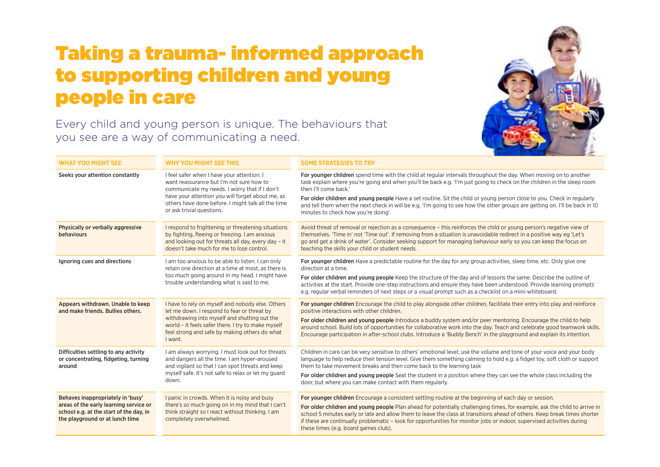#### Taking a trauma- informed approach to supporting children and young people in care



Every child and young person is unique. The behaviours that you see are a way of communicating a need.

| <b>WHAT YOU MIGHT SEE</b>                                                                                                                                 | <b>WHY YOU MIGHT SEE THIS</b>                                                                                                                                                                                                                                                  | <b>SOME STRATEGIES TO TRY</b>                                                                                                                                                                                                                                                                                                                                                                                                                                                                                                                                         |
|-----------------------------------------------------------------------------------------------------------------------------------------------------------|--------------------------------------------------------------------------------------------------------------------------------------------------------------------------------------------------------------------------------------------------------------------------------|-----------------------------------------------------------------------------------------------------------------------------------------------------------------------------------------------------------------------------------------------------------------------------------------------------------------------------------------------------------------------------------------------------------------------------------------------------------------------------------------------------------------------------------------------------------------------|
| Seeks your attention constantly                                                                                                                           | I feel safer when I have your attention. I<br>want reassurance but I'm not sure how to<br>communicate my needs. I worry that if I don't<br>have your attention you will forget about me, as<br>others have done before. I might talk all the time<br>or ask trivial questions. | For younger children spend time with the child at regular intervals throughout the day. When moving on to another<br>task explain where you're going and when you'll be back e.g. 'I'm just going to check on the children in the sleep room<br>then I'll come back.'<br>For older children and young people Have a set routine. Sit the child or young person close to you. Check in regularly<br>and tell them when the next check in will be e.g. 'I'm going to see how the other groups are getting on. I'll be back in 10<br>minutes to check how you're doing'. |
| Physically or verbally aggressive<br>behaviours                                                                                                           | I respond to frightening or threatening situations<br>by fighting, fleeing or freezing. I am anxious<br>and looking out for threats all day, every day - it<br>doesn't take much for me to lose control.                                                                       | Avoid threat of removal or rejection as a consequence - this reinforces the child or young person's negative view of<br>themselves. 'Time in' not 'Time out'. If removing from a situation is unavoidable redirect in a positive way eg 'Let's<br>go and get a drink of water'. Consider seeking support for managing behaviour early so you can keep the focus on<br>teaching the skills your child or student needs.                                                                                                                                                |
| Ignoring cues and directions                                                                                                                              | I am too anxious to be able to listen. I can only<br>retain one direction at a time at most, as there is<br>too much going around in my head. I might have<br>trouble understanding what is said to me.                                                                        | For younger children Have a predictable routine for the day for any group activities, sleep time, etc. Only give one<br>direction at a time.<br>For older children and young people Keep the structure of the day and of lessons the same. Describe the outline of<br>activities at the start. Provide one-step instructions and ensure they have been understood. Provide learning prompts<br>e.g. regular verbal reminders of next steps or a visual prompt such as a checklist on a mini-whiteboard.                                                               |
| Appears withdrawn. Unable to keep<br>and make friends. Bullies others.                                                                                    | I have to rely on myself and nobody else. Others<br>let me down. I respond to fear or threat by<br>withdrawing into myself and shutting out the<br>world - it feels safer there. I try to make myself<br>feel strong and safe by making others do what<br>I want.              | For younger children Encourage the child to play alongside other children, facilitate their entry into play and reinforce<br>positive interactions with other children.<br>For older children and young people Introduce a buddy system and/or peer mentoring. Encourage the child to help<br>around school. Build lots of opportunities for collaborative work into the day. Teach and celebrate good teamwork skills.<br>Encourage participation in after-school clubs. Introduce a 'Buddy Bench' in the playground and explain its intention.                      |
| Difficulties settling to any activity<br>or concentrating, fidgeting, turning<br>around                                                                   | I am always worrying. I must look out for threats<br>and dangers all the time. I am hyper-aroused<br>and vigilant so that I can spot threats and keep<br>myself safe. It's not safe to relax or let my guard<br>down.                                                          | Children in care can be very sensitive to others' emotional level; use the volume and tone of your voice and your body<br>language to help reduce their tension level. Give them something calming to hold e.g. a fidget toy, soft cloth or support<br>them to take movement breaks and then come back to the learning task<br>For older children and young people Seat the student in a position where they can see the whole class including the<br>door, but where you can make contact with them regularly.                                                       |
| Behaves inappropriately in 'busy'<br>areas of the early learning service or<br>school e.g. at the start of the day, in<br>the playground or at lunch time | I panic in crowds. When it is noisy and busy<br>there's so much going on in my mind that I can't<br>think straight so I react without thinking. I am<br>completely overwhelmed.                                                                                                | For younger children Encourage a consistent settling routine at the beginning of each day or session.<br>For older children and young people Plan ahead for potentially challenging times, for example, ask the child to arrive in<br>school 5 minutes early or late and allow them to leave the class at transitions ahead of others. Keep break times shorter<br>if these are continually problematic - look for opportunities for monitor jobs or indoor, supervised activities during<br>these times (e.g. board games club).                                     |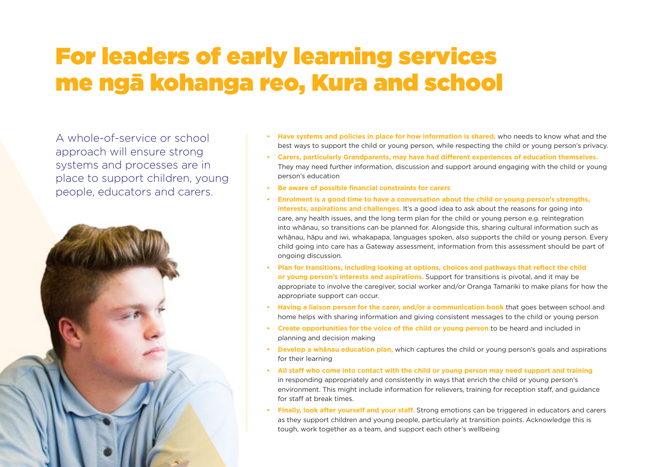### For leaders of early learning services me ngā kohanga reo, Kura and school

A whole-of-service or school approach will ensure strong systems and processes are in place to support children, young people, educators and carers.



- **• Have systems and policies in place for how information is shared,** who needs to know what and the best ways to support the child or young person, while respecting the child or young person's privacy.
- **• Carers, particularly Grandparents, may have had different experiences of education themselves.**  They may need further information, discussion and support around engaging with the child or young person's education
- **• Be aware of possible financial constraints for carers**
- **• Enrolment is a good time to have a conversation about the child or young person's strengths, interests, aspirations and challenges.** It's a good idea to ask about the reasons for going into care, any health issues, and the long term plan for the child or young person e.g. reintegration into whānau, so transitions can be planned for. Alongside this, sharing cultural information such as whānau, hāpu and iwi, whakapapa, languages spoken, also supports the child or young person. Every child going into care has a Gateway assessment, information from this assessment should be part of ongoing discussion.
- **• Plan for transitions, including looking at options, choices and pathways that reflect the child or young person's interests and aspirations.** Support for transitions is pivotal, and it may be appropriate to involve the caregiver, social worker and/or Oranga Tamariki to make plans for how the appropriate support can occur.
- **• Having a liaison person for the carer, and/or a communication book** that goes between school and home helps with sharing information and giving consistent messages to the child or young person
- **• Create opportunities for the voice of the child or young person** to be heard and included in planning and decision making
- **• Develop a whānau education plan,** which captures the child or young person's goals and aspirations for their learning
- **• All staff who come into contact with the child or young person may need support and training** in responding appropriately and consistently in ways that enrich the child or young person's environment. This might include information for relievers, training for reception staff, and guidance for staff at break times.
- **• Finally, look after yourself and your staff.** Strong emotions can be triggered in educators and carers as they support children and young people, particularly at transition points. Acknowledge this is tough, work together as a team, and support each other's wellbeing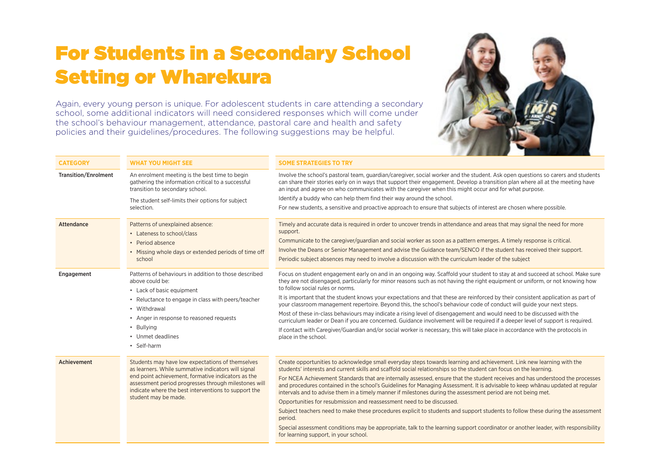#### For Students in a Secondary School Setting or Wharekura

Again, every young person is unique. For adolescent students in care attending a secondary school, some additional indicators will need considered responses which will come under the school's behaviour management, attendance, pastoral care and health and safety policies and their guidelines/procedures. The following suggestions may be helpful.



| <b>CATEGORY</b>             | <b>WHAT YOU MIGHT SEE</b>                                                                                                                                                                                                                                                                             | <b>SOME STRATEGIES TO TRY</b>                                                                                                                                                                                                                                                                                                                                                                                                                                                                                                                                                                                                                                                                                                                                                                                                                                                                                                                                                                                                        |
|-----------------------------|-------------------------------------------------------------------------------------------------------------------------------------------------------------------------------------------------------------------------------------------------------------------------------------------------------|--------------------------------------------------------------------------------------------------------------------------------------------------------------------------------------------------------------------------------------------------------------------------------------------------------------------------------------------------------------------------------------------------------------------------------------------------------------------------------------------------------------------------------------------------------------------------------------------------------------------------------------------------------------------------------------------------------------------------------------------------------------------------------------------------------------------------------------------------------------------------------------------------------------------------------------------------------------------------------------------------------------------------------------|
| <b>Transition/Enrolment</b> | An enrolment meeting is the best time to begin<br>gathering the information critical to a successful<br>transition to secondary school.                                                                                                                                                               | Involve the school's pastoral team, quardian/caregiver, social worker and the student. Ask open questions so carers and students<br>can share their stories early on in ways that support their engagement. Develop a transition plan where all at the meeting have<br>an input and agree on who communicates with the caregiver when this might occur and for what purpose.                                                                                                                                                                                                                                                                                                                                                                                                                                                                                                                                                                                                                                                         |
|                             | The student self-limits their options for subject<br>selection.                                                                                                                                                                                                                                       | Identify a buddy who can help them find their way around the school.                                                                                                                                                                                                                                                                                                                                                                                                                                                                                                                                                                                                                                                                                                                                                                                                                                                                                                                                                                 |
|                             |                                                                                                                                                                                                                                                                                                       | For new students, a sensitive and proactive approach to ensure that subjects of interest are chosen where possible.                                                                                                                                                                                                                                                                                                                                                                                                                                                                                                                                                                                                                                                                                                                                                                                                                                                                                                                  |
| Attendance                  | Patterns of unexplained absence:<br>• Lateness to school/class<br>• Period absence<br>• Missing whole days or extended periods of time off<br>school                                                                                                                                                  | Timely and accurate data is required in order to uncover trends in attendance and areas that may signal the need for more<br>support.<br>Communicate to the caregiver/guardian and social worker as soon as a pattern emerges. A timely response is critical.<br>Involve the Deans or Senior Management and advise the Guidance team/SENCO if the student has received their support.<br>Periodic subject absences may need to involve a discussion with the curriculum leader of the subject                                                                                                                                                                                                                                                                                                                                                                                                                                                                                                                                        |
| Engagement                  | Patterns of behaviours in addition to those described<br>above could be:<br>• Lack of basic equipment<br>• Reluctance to engage in class with peers/teacher<br>• Withdrawal<br>• Anger in response to reasoned requests<br>• Bullying<br>• Unmet deadlines<br>• Self-harm                             | Focus on student engagement early on and in an ongoing way. Scaffold your student to stay at and succeed at school. Make sure<br>they are not disengaged, particularly for minor reasons such as not having the right equipment or uniform, or not knowing how<br>to follow social rules or norms.<br>It is important that the student knows your expectations and that these are reinforced by their consistent application as part of<br>your classroom management repertoire. Beyond this, the school's behaviour code of conduct will guide your next steps.<br>Most of these in-class behaviours may indicate a rising level of disengagement and would need to be discussed with the<br>curriculum leader or Dean if you are concerned. Guidance involvement will be required if a deeper level of support is required.<br>If contact with Caregiver/Guardian and/or social worker is necessary, this will take place in accordance with the protocols in<br>place in the school.                                              |
| Achievement                 | Students may have low expectations of themselves<br>as learners. While summative indicators will signal<br>end point achievement, formative indicators as the<br>assessment period progresses through milestones will<br>indicate where the best interventions to support the<br>student may be made. | Create opportunities to acknowledge small everyday steps towards learning and achievement. Link new learning with the<br>students' interests and current skills and scaffold social relationships so the student can focus on the learning.<br>For NCEA Achievement Standards that are internally assessed, ensure that the student receives and has understood the processes<br>and procedures contained in the school's Guidelines for Managing Assessment. It is advisable to keep whanau updated at regular<br>intervals and to advise them in a timely manner if milestones during the assessment period are not being met.<br>Opportunities for resubmission and reassessment need to be discussed.<br>Subject teachers need to make these procedures explicit to students and support students to follow these during the assessment<br>period.<br>Special assessment conditions may be appropriate, talk to the learning support coordinator or another leader, with responsibility<br>for learning support, in your school. |